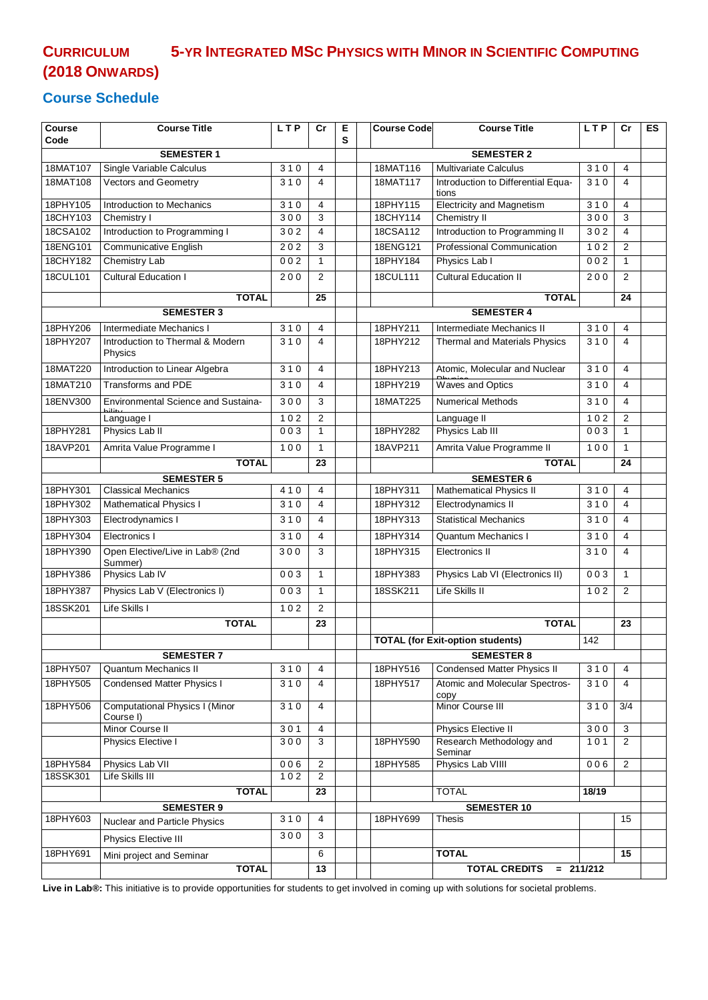# **CURRICULUM 5-YR INTEGRATED MSC PHYSICS WITH MINOR IN SCIENTIFIC COMPUTING (2018 ONWARDS)**

#### **Course Schedule**

| <b>Course</b>                                                                      | <b>Course Title</b>                                | <b>LTP</b> | Cr                      | Е | <b>Course Code</b>                                                        | <b>Course Title</b>                     | <b>LTP</b>       | Cr             | ES |
|------------------------------------------------------------------------------------|----------------------------------------------------|------------|-------------------------|---|---------------------------------------------------------------------------|-----------------------------------------|------------------|----------------|----|
| Code                                                                               |                                                    |            |                         | S |                                                                           |                                         |                  |                |    |
| <b>SEMESTER 1</b><br>18MAT107<br>Single Variable Calculus<br>310<br>$\overline{4}$ |                                                    |            |                         |   | <b>SEMESTER 2</b><br><b>Multivariate Calculus</b><br>18MAT116<br>310<br>4 |                                         |                  |                |    |
| 18MAT108                                                                           | <b>Vectors and Geometry</b>                        | 310        | $\overline{4}$          |   | 18MAT117                                                                  | Introduction to Differential Equa-      | 310              | 4              |    |
|                                                                                    |                                                    |            |                         |   |                                                                           | tions                                   |                  |                |    |
| 18PHY105                                                                           | Introduction to Mechanics                          | 310        | $\overline{4}$          |   | 18PHY115                                                                  | <b>Electricity and Magnetism</b>        | 310              | $\overline{4}$ |    |
| 18CHY103                                                                           | Chemistry I                                        | 300        | 3                       |   | 18CHY114                                                                  | <b>Chemistry II</b>                     | 300              | 3              |    |
| 18CSA102                                                                           | Introduction to Programming I                      | 302        | $\overline{4}$          |   | 18CSA112                                                                  | Introduction to Programming II          | 302              | 4              |    |
| 18ENG101                                                                           | <b>Communicative English</b>                       | 202        | 3                       |   | 18ENG121                                                                  | Professional Communication              | 102              | 2              |    |
| 18CHY182                                                                           | <b>Chemistry Lab</b>                               | 002        | $\mathbf{1}$            |   | 18PHY184                                                                  | Physics Lab I                           | 002              | $\mathbf{1}$   |    |
| 18CUL101                                                                           | <b>Cultural Education I</b>                        | 200        | $\overline{2}$          |   | 18CUL111                                                                  | <b>Cultural Education II</b>            | 200              | $\overline{2}$ |    |
|                                                                                    | <b>TOTAL</b>                                       |            | 25                      |   |                                                                           | <b>TOTAL</b>                            |                  | 24             |    |
|                                                                                    | <b>SEMESTER 3</b>                                  |            |                         |   |                                                                           | <b>SEMESTER 4</b>                       |                  |                |    |
| 18PHY206                                                                           | Intermediate Mechanics I                           | 310        | $\overline{4}$          |   | 18PHY211                                                                  | Intermediate Mechanics II               | 310              | $\overline{4}$ |    |
| 18PHY207                                                                           | Introduction to Thermal & Modern<br>Physics        | 310        | $\overline{\mathbf{4}}$ |   | 18PHY212                                                                  | Thermal and Materials Physics           | 310              | 4              |    |
| 18MAT220                                                                           | Introduction to Linear Algebra                     | 310        | $\overline{4}$          |   | 18PHY213                                                                  | Atomic, Molecular and Nuclear           | 310              | $\overline{4}$ |    |
| 18MAT210                                                                           | <b>Transforms and PDE</b>                          | 310        | 4                       |   | 18PHY219                                                                  | Waves and Optics                        | 310              | 4              |    |
| 18ENV300                                                                           | Environmental Science and Sustaina-                | 300        | 3                       |   | 18MAT225                                                                  | <b>Numerical Methods</b>                | 310              | 4              |    |
|                                                                                    | Language I                                         | 102        | $\overline{2}$          |   |                                                                           | Language II                             | 102              | 2              |    |
| 18PHY281                                                                           | Physics Lab II                                     | 003        | $\mathbf{1}$            |   | 18PHY282                                                                  | Physics Lab III                         | 003              | $\mathbf{1}$   |    |
| 18AVP201                                                                           | Amrita Value Programme I                           | 100        | $\mathbf{1}$            |   | 18AVP211                                                                  | Amrita Value Programme II               | 100              | $\mathbf{1}$   |    |
|                                                                                    | <b>TOTAL</b>                                       |            | 23                      |   |                                                                           | <b>TOTAL</b>                            |                  | 24             |    |
|                                                                                    | <b>SEMESTER 5</b>                                  |            |                         |   |                                                                           | <b>SEMESTER 6</b>                       |                  |                |    |
| 18PHY301                                                                           | <b>Classical Mechanics</b>                         | 410        | 4                       |   | 18PHY311                                                                  | <b>Mathematical Physics II</b>          | $\overline{310}$ | 4              |    |
| 18PHY302                                                                           | Mathematical Physics I                             | 310        | $\overline{4}$          |   | 18PHY312                                                                  | Electrodynamics II                      | 310              | $\overline{4}$ |    |
| 18PHY303                                                                           | Electrodynamics I                                  | 310        | 4                       |   | 18PHY313                                                                  | <b>Statistical Mechanics</b>            | 310              | 4              |    |
| 18PHY304                                                                           | Electronics I                                      | 310        | $\overline{4}$          |   | 18PHY314                                                                  | <b>Quantum Mechanics I</b>              | 310              | $\overline{4}$ |    |
| 18PHY390                                                                           | Open Elective/Live in Lab® (2nd<br>Summer)         | 300        | 3                       |   | 18PHY315                                                                  | Electronics II                          | 310              | 4              |    |
| 18PHY386                                                                           | Physics Lab IV                                     | 003        | $\mathbf{1}$            |   | 18PHY383                                                                  | Physics Lab VI (Electronics II)         | 003              | $\mathbf{1}$   |    |
| 18PHY387                                                                           | Physics Lab V (Electronics I)                      | 003        | $\mathbf{1}$            |   | 18SSK211                                                                  | Life Skills II                          | 102              | 2              |    |
| 18SSK201                                                                           | Life Skills I                                      | 102        | $\overline{2}$          |   |                                                                           |                                         |                  |                |    |
|                                                                                    | <b>TOTAL</b>                                       |            | 23                      |   |                                                                           | <b>TOTAL</b>                            |                  | 23             |    |
|                                                                                    |                                                    |            |                         |   |                                                                           | <b>TOTAL (for Exit-option students)</b> | 142              |                |    |
|                                                                                    | <b>SEMESTER 7</b>                                  |            |                         |   |                                                                           | <b>SEMESTER 8</b>                       |                  |                |    |
| 18PHY507                                                                           | <b>Quantum Mechanics II</b>                        | 310        | 4                       |   | 18PHY516                                                                  | <b>Condensed Matter Physics II</b>      | 310              | 4              |    |
| 18PHY505                                                                           | <b>Condensed Matter Physics I</b>                  | 310        | $\overline{4}$          |   | 18PHY517                                                                  | Atomic and Molecular Spectros-<br>copy  | 310              | 4              |    |
| 18PHY506                                                                           | <b>Computational Physics I (Minor</b><br>Course I) | 310        | 4                       |   |                                                                           | Minor Course III                        | 310              | 3/4            |    |
|                                                                                    | Minor Course II                                    | 301        | 4                       |   |                                                                           | Physics Elective II                     | 300              | 3              |    |
|                                                                                    | Physics Elective I                                 | 300        | 3                       |   | 18PHY590                                                                  | Research Methodology and<br>Seminar     | 101              | $\overline{2}$ |    |
| 18PHY584                                                                           | Physics Lab VII<br>Life Skills III                 | 006<br>102 | 2<br>2                  |   | 18PHY585                                                                  | Physics Lab VIIII                       | 006              | $\overline{2}$ |    |
| 18SSK301                                                                           |                                                    |            |                         |   |                                                                           |                                         |                  |                |    |
| <b>TOTAL</b><br>23                                                                 |                                                    |            |                         |   | <b>TOTAL</b><br>18/19                                                     |                                         |                  |                |    |
| 18PHY603                                                                           | <b>SEMESTER 9</b>                                  | 310        | $\overline{4}$          |   | 18PHY699                                                                  | <b>SEMESTER 10</b><br><b>Thesis</b>     |                  | 15             |    |
|                                                                                    | Nuclear and Particle Physics                       | 300        | 3                       |   |                                                                           |                                         |                  |                |    |
|                                                                                    | Physics Elective III                               |            |                         |   |                                                                           |                                         |                  |                |    |
| 18PHY691                                                                           | Mini project and Seminar                           |            | 6                       |   |                                                                           | <b>TOTAL</b>                            |                  | 15             |    |
|                                                                                    | <b>TOTAL</b>                                       |            | 13                      |   |                                                                           | TOTAL CREDITS = 211/212                 |                  |                |    |

**Live in Lab®:** This initiative is to provide opportunities for students to get involved in coming up with solutions for societal problems.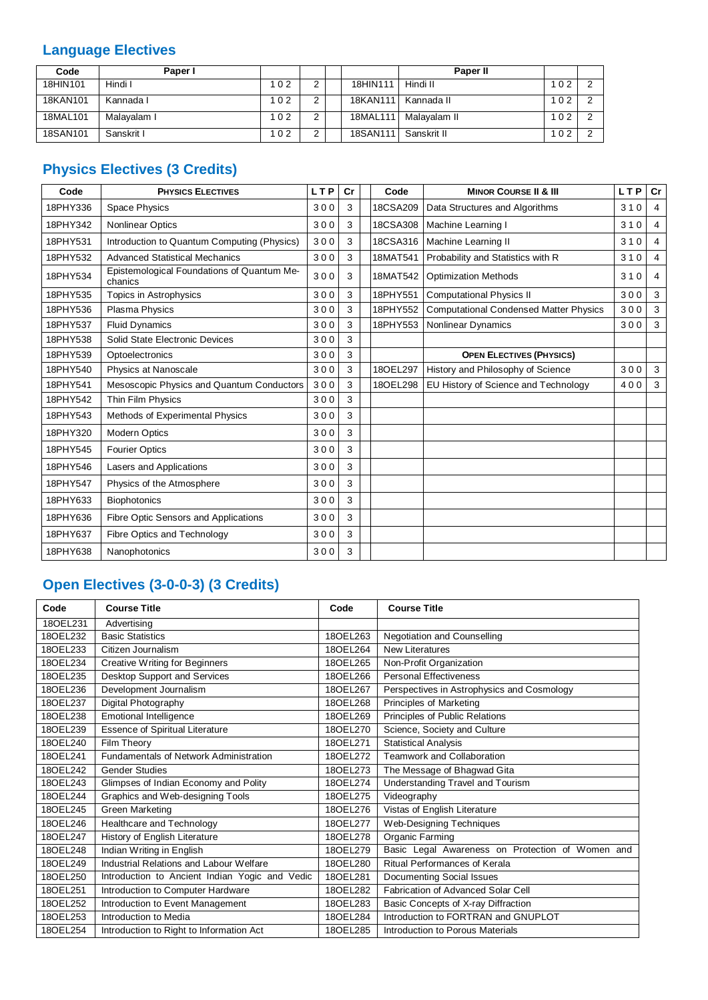### **Language Electives**

| Code     | Paper I     |     |  |          | Paper II     |     |  |
|----------|-------------|-----|--|----------|--------------|-----|--|
| 18HIN101 | Hindi I     | 102 |  | 18HIN111 | Hindi II     | 102 |  |
| 18KAN101 | Kannada I   | 102 |  | 18KAN111 | Kannada II   | 02  |  |
| 18MAL101 | Malayalam I | 102 |  | 18MAL111 | Malavalam II | 102 |  |
| 18SAN101 | Sanskrit I  | 102 |  | 18SAN111 | Sanskrit II  | 102 |  |

# **Physics Electives (3 Credits)**

| Code     | <b>PHYSICS ELECTIVES</b>                              | <b>LTP</b> | Cr | Code     | <b>MINOR COURSE II &amp; III</b>              | <b>LTP</b> | Cr             |
|----------|-------------------------------------------------------|------------|----|----------|-----------------------------------------------|------------|----------------|
| 18PHY336 | <b>Space Physics</b>                                  | 300        | 3  | 18CSA209 | Data Structures and Algorithms                | 310        | 4              |
| 18PHY342 | <b>Nonlinear Optics</b>                               | 300        | 3  | 18CSA308 | Machine Learning I                            | 310        | 4              |
| 18PHY531 | Introduction to Quantum Computing (Physics)           | 300        | 3  | 18CSA316 | Machine Learning II                           | 310        | 4              |
| 18PHY532 | <b>Advanced Statistical Mechanics</b>                 | 300        | 3  | 18MAT541 | Probability and Statistics with R             | 310        | $\overline{4}$ |
| 18PHY534 | Epistemological Foundations of Quantum Me-<br>chanics | 300        | 3  | 18MAT542 | <b>Optimization Methods</b>                   | 310        | 4              |
| 18PHY535 | Topics in Astrophysics                                | 300        | 3  | 18PHY551 | <b>Computational Physics II</b>               | 300        | 3              |
| 18PHY536 | Plasma Physics                                        | 300        | 3  | 18PHY552 | <b>Computational Condensed Matter Physics</b> | 300        | 3              |
| 18PHY537 | <b>Fluid Dynamics</b>                                 | 300        | 3  | 18PHY553 | <b>Nonlinear Dynamics</b>                     | 300        | 3              |
| 18PHY538 | Solid State Electronic Devices                        | 300        | 3  |          |                                               |            |                |
| 18PHY539 | Optoelectronics                                       | 300        | 3  |          | <b>OPEN ELECTIVES (PHYSICS)</b>               |            |                |
| 18PHY540 | Physics at Nanoscale                                  | 300        | 3  | 180EL297 | History and Philosophy of Science             | 300        | 3              |
| 18PHY541 | Mesoscopic Physics and Quantum Conductors             | 300        | 3  | 180EL298 | EU History of Science and Technology          | 400        | 3              |
| 18PHY542 | Thin Film Physics                                     | 300        | 3  |          |                                               |            |                |
| 18PHY543 | Methods of Experimental Physics                       | 300        | 3  |          |                                               |            |                |
| 18PHY320 | <b>Modern Optics</b>                                  | 300        | 3  |          |                                               |            |                |
| 18PHY545 | <b>Fourier Optics</b>                                 | 300        | 3  |          |                                               |            |                |
| 18PHY546 | Lasers and Applications                               | 300        | 3  |          |                                               |            |                |
| 18PHY547 | Physics of the Atmosphere                             | 300        | 3  |          |                                               |            |                |
| 18PHY633 | <b>Biophotonics</b>                                   | 300        | 3  |          |                                               |            |                |
| 18PHY636 | Fibre Optic Sensors and Applications                  | 300        | 3  |          |                                               |            |                |
| 18PHY637 | Fibre Optics and Technology                           | 300        | 3  |          |                                               |            |                |
| 18PHY638 | Nanophotonics                                         | 300        | 3  |          |                                               |            |                |

## **Open Electives (3-0-0-3) (3 Credits)**

| Code     | <b>Course Title</b>                            | Code     | <b>Course Title</b>                              |
|----------|------------------------------------------------|----------|--------------------------------------------------|
| 180EL231 | Advertising                                    |          |                                                  |
| 180EL232 | <b>Basic Statistics</b>                        | 180EL263 | <b>Negotiation and Counselling</b>               |
| 180EL233 | Citizen Journalism                             | 180EL264 | <b>New Literatures</b>                           |
| 180EL234 | <b>Creative Writing for Beginners</b>          | 180EL265 | Non-Profit Organization                          |
| 180EL235 | <b>Desktop Support and Services</b>            | 180EL266 | <b>Personal Effectiveness</b>                    |
| 180EL236 | Development Journalism                         | 180EL267 | Perspectives in Astrophysics and Cosmology       |
| 180EL237 | Digital Photography                            | 180EL268 | Principles of Marketing                          |
| 180EL238 | Emotional Intelligence                         | 180EL269 | Principles of Public Relations                   |
| 180EL239 | <b>Essence of Spiritual Literature</b>         | 180EL270 | Science, Society and Culture                     |
| 180EL240 | Film Theory                                    | 180EL271 | <b>Statistical Analysis</b>                      |
| 180EL241 | Fundamentals of Network Administration         | 180EL272 | <b>Teamwork and Collaboration</b>                |
| 180EL242 | <b>Gender Studies</b>                          | 180EL273 | The Message of Bhagwad Gita                      |
| 180EL243 | Glimpses of Indian Economy and Polity          | 180EL274 | <b>Understanding Travel and Tourism</b>          |
| 180EL244 | Graphics and Web-designing Tools               | 180EL275 | Videography                                      |
| 180EL245 | <b>Green Marketing</b>                         | 180EL276 | Vistas of English Literature                     |
| 180EL246 | Healthcare and Technology                      | 180EL277 | Web-Designing Techniques                         |
| 180EL247 | History of English Literature                  | 180EL278 | Organic Farming                                  |
| 180EL248 | Indian Writing in English                      | 180EL279 | Basic Legal Awareness on Protection of Women and |
| 180EL249 | Industrial Relations and Labour Welfare        | 180EL280 | Ritual Performances of Kerala                    |
| 180EL250 | Introduction to Ancient Indian Yogic and Vedic | 180EL281 | Documenting Social Issues                        |
| 180EL251 | Introduction to Computer Hardware              | 180EL282 | Fabrication of Advanced Solar Cell               |
| 180EL252 | Introduction to Event Management               | 180EL283 | Basic Concepts of X-ray Diffraction              |
| 180EL253 | Introduction to Media                          | 180EL284 | Introduction to FORTRAN and GNUPLOT              |
| 180EL254 | Introduction to Right to Information Act       | 180EL285 | Introduction to Porous Materials                 |